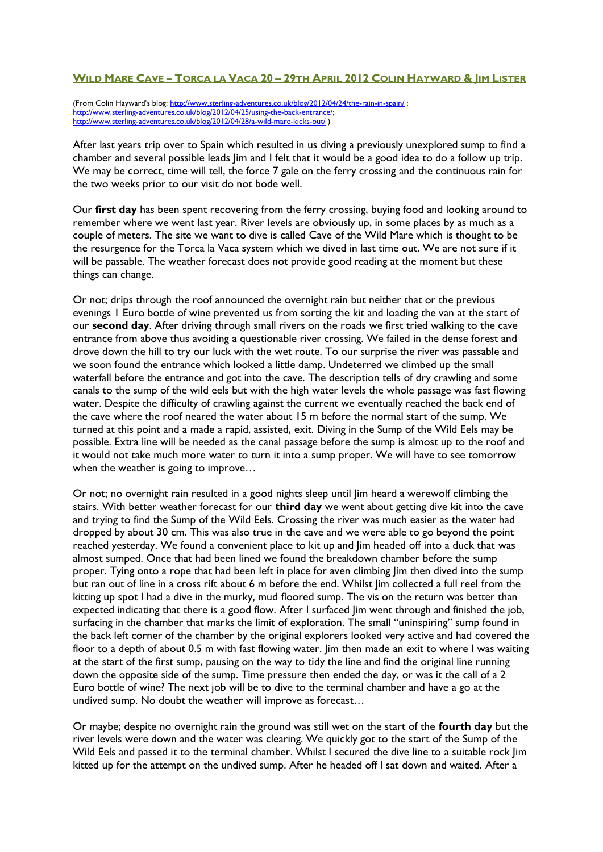## WILD MARE CAVE - TORCA LA VACA 20 - 29TH APRIL 2012 COLIN HAYWARD & IM LISTER

(From Colin Hayward's blog: <http://www.sterling-adventures.co.uk/blog/2012/04/24/the-rain-in-spain/> ; [http://www.sterling-adventures.co.uk/blog/2012/04/25/using-the-back-entrance/;](http://www.sterling-adventures.co.uk/blog/2012/04/25/using-the-back-entrance/) <http://www.sterling-adventures.co.uk/blog/2012/04/28/a-wild-mare-kicks-out/> )

After last years trip over to Spain which resulted in us diving a previously unexplored sump to find a chamber and several possible leads Jim and I felt that it would be a good idea to do a follow up trip. We may be correct, time will tell, the force 7 gale on the ferry crossing and the continuous rain for the two weeks prior to our visit do not bode well.

Our **first day** has been spent recovering from the ferry crossing, buying food and looking around to remember where we went last year. River levels are obviously up, in some places by as much as a couple of meters. The site we want to dive is called Cave of the Wild Mare which is thought to be the resurgence for the Torca la Vaca system which we dived in last time out. We are not sure if it will be passable. The weather forecast does not provide good reading at the moment but these things can change.

Or not; drips through the roof announced the overnight rain but neither that or the previous evenings 1 Euro bottle of wine prevented us from sorting the kit and loading the van at the start of our **second day**. After driving through small rivers on the roads we first tried walking to the cave entrance from above thus avoiding a questionable river crossing. We failed in the dense forest and drove down the hill to try our luck with the wet route. To our surprise the river was passable and we soon found the entrance which looked a little damp. Undeterred we climbed up the small waterfall before the entrance and got into the cave. The description tells of dry crawling and some canals to the sump of the wild eels but with the high water levels the whole passage was fast flowing water. Despite the difficulty of crawling against the current we eventually reached the back end of the cave where the roof neared the water about 15 m before the normal start of the sump. We turned at this point and a made a rapid, assisted, exit. Diving in the Sump of the Wild Eels may be possible. Extra line will be needed as the canal passage before the sump is almost up to the roof and it would not take much more water to turn it into a sump proper. We will have to see tomorrow when the weather is going to improve...

Or not; no overnight rain resulted in a good nights sleep until Jim heard a werewolf climbing the stairs. With better weather forecast for our **third day** we went about getting dive kit into the cave and trying to find the Sump of the Wild Eels. Crossing the river was much easier as the water had dropped by about 30 cm. This was also true in the cave and we were able to go beyond the point reached yesterday. We found a convenient place to kit up and Jim headed off into a duck that was almost sumped. Once that had been lined we found the breakdown chamber before the sump proper. Tying onto a rope that had been left in place for aven climbing Jim then dived into the sump but ran out of line in a cross rift about 6 m before the end. Whilst Jim collected a full reel from the kitting up spot I had a dive in the murky, mud floored sump. The vis on the return was better than expected indicating that there is a good flow. After I surfaced Jim went through and finished the job, surfacing in the chamber that marks the limit of exploration. The small "uninspiring" sump found in the back left corner of the chamber by the original explorers looked very active and had covered the floor to a depth of about 0.5 m with fast flowing water. Jim then made an exit to where I was waiting at the start of the first sump, pausing on the way to tidy the line and find the original line running down the opposite side of the sump. Time pressure then ended the day, or was it the call of a 2 Euro bottle of wine? The next job will be to dive to the terminal chamber and have a go at the undived sump. No doubt the weather will improve as forecast…

Or maybe; despite no overnight rain the ground was still wet on the start of the **fourth day** but the river levels were down and the water was clearing. We quickly got to the start of the Sump of the Wild Eels and passed it to the terminal chamber. Whilst I secured the dive line to a suitable rock lim kitted up for the attempt on the undived sump. After he headed off I sat down and waited. After a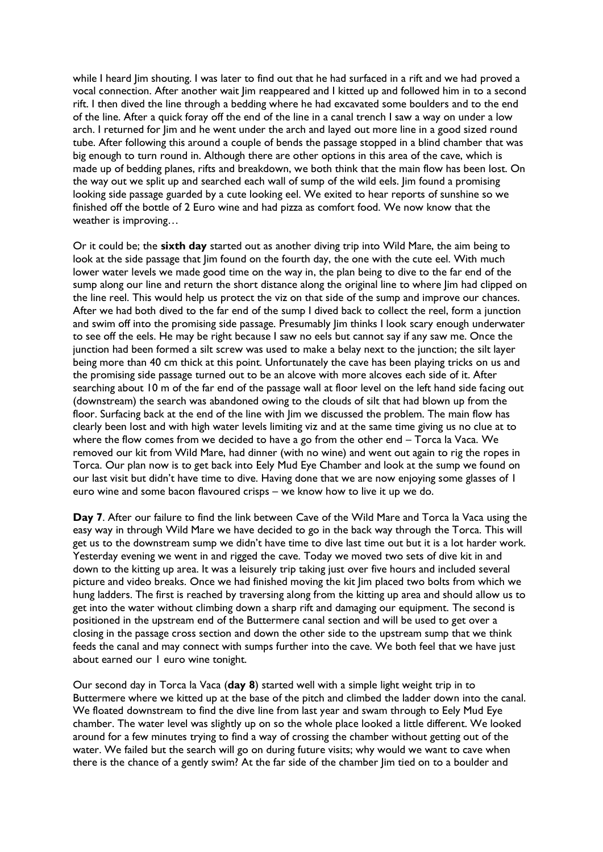while I heard Jim shouting. I was later to find out that he had surfaced in a rift and we had proved a vocal connection. After another wait Jim reappeared and I kitted up and followed him in to a second rift. I then dived the line through a bedding where he had excavated some boulders and to the end of the line. After a quick foray off the end of the line in a canal trench I saw a way on under a low arch. I returned for Jim and he went under the arch and layed out more line in a good sized round tube. After following this around a couple of bends the passage stopped in a blind chamber that was big enough to turn round in. Although there are other options in this area of the cave, which is made up of bedding planes, rifts and breakdown, we both think that the main flow has been lost. On the way out we split up and searched each wall of sump of the wild eels. Jim found a promising looking side passage guarded by a cute looking eel. We exited to hear reports of sunshine so we finished off the bottle of 2 Euro wine and had pizza as comfort food. We now know that the weather is improving…

Or it could be; the **sixth day** started out as another diving trip into Wild Mare, the aim being to look at the side passage that Jim found on the fourth day, the one with the cute eel. With much lower water levels we made good time on the way in, the plan being to dive to the far end of the sump along our line and return the short distance along the original line to where Jim had clipped on the line reel. This would help us protect the viz on that side of the sump and improve our chances. After we had both dived to the far end of the sump I dived back to collect the reel, form a junction and swim off into the promising side passage. Presumably Jim thinks I look scary enough underwater to see off the eels. He may be right because I saw no eels but cannot say if any saw me. Once the junction had been formed a silt screw was used to make a belay next to the junction; the silt layer being more than 40 cm thick at this point. Unfortunately the cave has been playing tricks on us and the promising side passage turned out to be an alcove with more alcoves each side of it. After searching about 10 m of the far end of the passage wall at floor level on the left hand side facing out (downstream) the search was abandoned owing to the clouds of silt that had blown up from the floor. Surfacing back at the end of the line with Jim we discussed the problem. The main flow has clearly been lost and with high water levels limiting viz and at the same time giving us no clue at to where the flow comes from we decided to have a go from the other end – Torca la Vaca. We removed our kit from Wild Mare, had dinner (with no wine) and went out again to rig the ropes in Torca. Our plan now is to get back into Eely Mud Eye Chamber and look at the sump we found on our last visit but didn't have time to dive. Having done that we are now enjoying some glasses of 1 euro wine and some bacon flavoured crisps – we know how to live it up we do.

**Day 7**. After our failure to find the link between Cave of the Wild Mare and Torca la Vaca using the easy way in through Wild Mare we have decided to go in the back way through the Torca. This will get us to the downstream sump we didn't have time to dive last time out but it is a lot harder work. Yesterday evening we went in and rigged the cave. Today we moved two sets of dive kit in and down to the kitting up area. It was a leisurely trip taking just over five hours and included several picture and video breaks. Once we had finished moving the kit Jim placed two bolts from which we hung ladders. The first is reached by traversing along from the kitting up area and should allow us to get into the water without climbing down a sharp rift and damaging our equipment. The second is positioned in the upstream end of the Buttermere canal section and will be used to get over a closing in the passage cross section and down the other side to the upstream sump that we think feeds the canal and may connect with sumps further into the cave. We both feel that we have just about earned our I euro wine tonight.

Our second day in Torca la Vaca (**day 8**) started well with a simple light weight trip in to Buttermere where we kitted up at the base of the pitch and climbed the ladder down into the canal. We floated downstream to find the dive line from last year and swam through to Eely Mud Eye chamber. The water level was slightly up on so the whole place looked a little different. We looked around for a few minutes trying to find a way of crossing the chamber without getting out of the water. We failed but the search will go on during future visits; why would we want to cave when there is the chance of a gently swim? At the far side of the chamber Jim tied on to a boulder and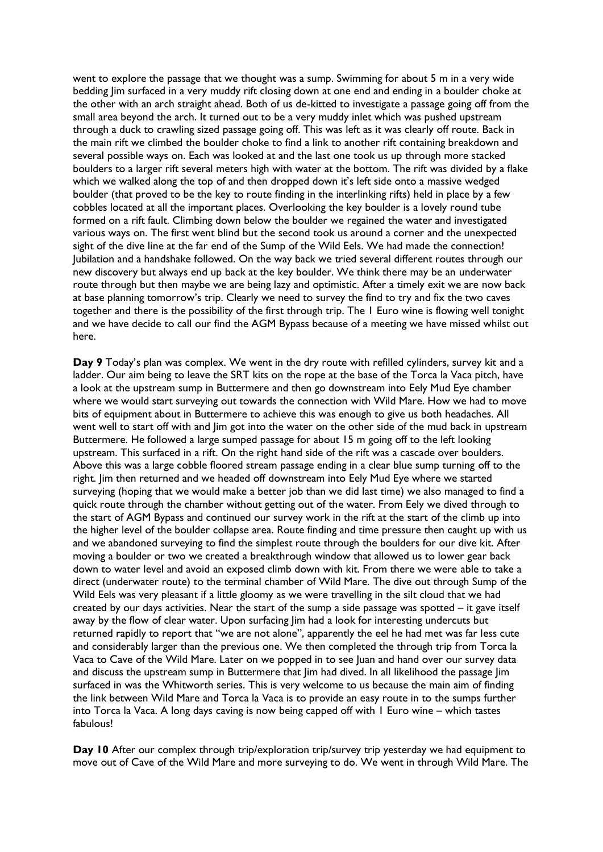went to explore the passage that we thought was a sump. Swimming for about 5 m in a very wide bedding Jim surfaced in a very muddy rift closing down at one end and ending in a boulder choke at the other with an arch straight ahead. Both of us de-kitted to investigate a passage going off from the small area beyond the arch. It turned out to be a very muddy inlet which was pushed upstream through a duck to crawling sized passage going off. This was left as it was clearly off route. Back in the main rift we climbed the boulder choke to find a link to another rift containing breakdown and several possible ways on. Each was looked at and the last one took us up through more stacked boulders to a larger rift several meters high with water at the bottom. The rift was divided by a flake which we walked along the top of and then dropped down it's left side onto a massive wedged boulder (that proved to be the key to route finding in the interlinking rifts) held in place by a few cobbles located at all the important places. Overlooking the key boulder is a lovely round tube formed on a rift fault. Climbing down below the boulder we regained the water and investigated various ways on. The first went blind but the second took us around a corner and the unexpected sight of the dive line at the far end of the Sump of the Wild Eels. We had made the connection! Jubilation and a handshake followed. On the way back we tried several different routes through our new discovery but always end up back at the key boulder. We think there may be an underwater route through but then maybe we are being lazy and optimistic. After a timely exit we are now back at base planning tomorrow's trip. Clearly we need to survey the find to try and fix the two caves together and there is the possibility of the first through trip. The 1 Euro wine is flowing well tonight and we have decide to call our find the AGM Bypass because of a meeting we have missed whilst out here.

Day 9 Today's plan was complex. We went in the dry route with refilled cylinders, survey kit and a ladder. Our aim being to leave the SRT kits on the rope at the base of the Torca la Vaca pitch, have a look at the upstream sump in Buttermere and then go downstream into Eely Mud Eye chamber where we would start surveying out towards the connection with Wild Mare. How we had to move bits of equipment about in Buttermere to achieve this was enough to give us both headaches. All went well to start off with and lim got into the water on the other side of the mud back in upstream Buttermere. He followed a large sumped passage for about 15 m going off to the left looking upstream. This surfaced in a rift. On the right hand side of the rift was a cascade over boulders. Above this was a large cobble floored stream passage ending in a clear blue sump turning off to the right. Jim then returned and we headed off downstream into Eely Mud Eye where we started surveying (hoping that we would make a better job than we did last time) we also managed to find a quick route through the chamber without getting out of the water. From Eely we dived through to the start of AGM Bypass and continued our survey work in the rift at the start of the climb up into the higher level of the boulder collapse area. Route finding and time pressure then caught up with us and we abandoned surveying to find the simplest route through the boulders for our dive kit. After moving a boulder or two we created a breakthrough window that allowed us to lower gear back down to water level and avoid an exposed climb down with kit. From there we were able to take a direct (underwater route) to the terminal chamber of Wild Mare. The dive out through Sump of the Wild Eels was very pleasant if a little gloomy as we were travelling in the silt cloud that we had created by our days activities. Near the start of the sump a side passage was spotted – it gave itself away by the flow of clear water. Upon surfacing Jim had a look for interesting undercuts but returned rapidly to report that "we are not alone", apparently the eel he had met was far less cute and considerably larger than the previous one. We then completed the through trip from Torca la Vaca to Cave of the Wild Mare. Later on we popped in to see Juan and hand over our survey data and discuss the upstream sump in Buttermere that Jim had dived. In all likelihood the passage Jim surfaced in was the Whitworth series. This is very welcome to us because the main aim of finding the link between Wild Mare and Torca la Vaca is to provide an easy route in to the sumps further into Torca la Vaca. A long days caving is now being capped off with 1 Euro wine – which tastes fabulous!

**Day 10** After our complex through trip/exploration trip/survey trip yesterday we had equipment to move out of Cave of the Wild Mare and more surveying to do. We went in through Wild Mare. The